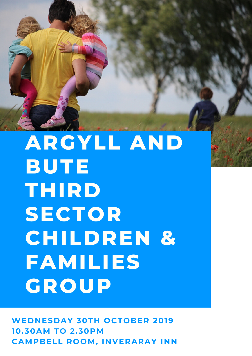

## **ARGYLL AND BUTE THIRD SECTOR CHILDREN & FAMILIES GROUP**

**WEDNESDAY 30TH OCTOBER 2019 10.30AM TO 2.30PM CAMPBELL ROOM, INVERARAY INN**